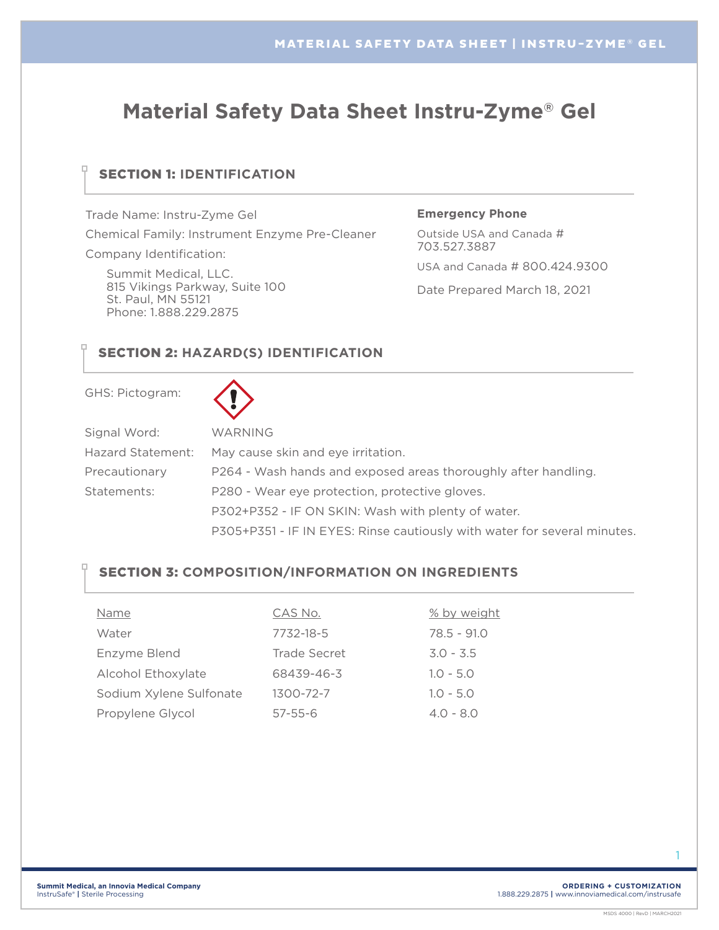# **Material Safety Data Sheet Instru-Zyme® Gel**

## SECTION 1: **IDENTIFICATION**

Trade Name: Instru-Zyme Gel

Chemical Family: Instrument Enzyme Pre-Cleaner

Company Identification:

о

Q

Summit Medical, LLC. 815 Vikings Parkway, Suite 100 St. Paul, MN 55121 Phone: 1.888.229.2875

### **Emergency Phone**

Outside USA and Canada # 703.527.3887

USA and Canada # 800.424.9300

Date Prepared March 18, 2021

### SECTION 2: **HAZARD(S) IDENTIFICATION**

GHS: Pictogram:



| Signal Word:      | WARNING                                                                  |
|-------------------|--------------------------------------------------------------------------|
| Hazard Statement: | May cause skin and eye irritation.                                       |
| Precautionary     | P264 - Wash hands and exposed areas thoroughly after handling.           |
| Statements:       | P280 - Wear eye protection, protective gloves.                           |
|                   | P302+P352 - IF ON SKIN: Wash with plenty of water.                       |
|                   | P305+P351 - IF IN EYES: Rinse cautiously with water for several minutes. |

### SECTION 3: **COMPOSITION/INFORMATION ON INGREDIENTS**

| Name                    | CAS No.       | % by weight   |
|-------------------------|---------------|---------------|
| Water                   | 7732-18-5     | $78.5 - 91.0$ |
| Enzyme Blend            | Trade Secret  | $3.0 - 3.5$   |
| Alcohol Ethoxylate      | 68439-46-3    | $1.0 - 5.0$   |
| Sodium Xylene Sulfonate | 1300-72-7     | $1.0 - 5.0$   |
| Propylene Glycol        | $57 - 55 - 6$ | $4.0 - 8.0$   |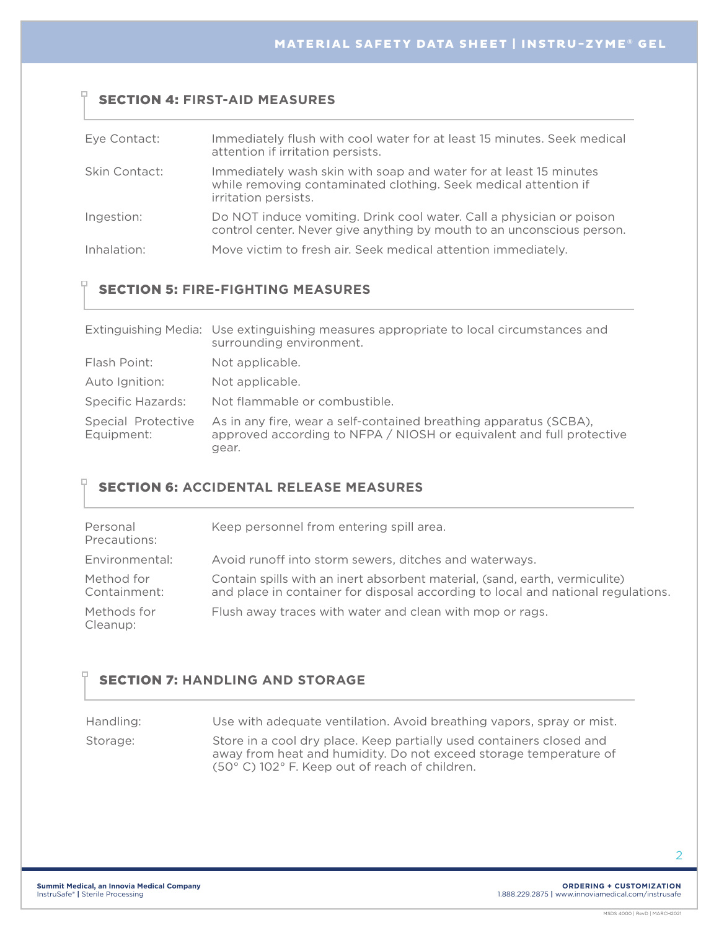### SECTION 4: **FIRST-AID MEASURES**

о

| Eye Contact:  | Immediately flush with cool water for at least 15 minutes. Seek medical<br>attention if irritation persists.                                                 |
|---------------|--------------------------------------------------------------------------------------------------------------------------------------------------------------|
| Skin Contact: | Immediately wash skin with soap and water for at least 15 minutes<br>while removing contaminated clothing. Seek medical attention if<br>irritation persists. |
| Ingestion:    | Do NOT induce vomiting. Drink cool water. Call a physician or poison<br>control center. Never give anything by mouth to an unconscious person.               |
| Inhalation:   | Move victim to fresh air. Seek medical attention immediately.                                                                                                |

### SECTION 5: **FIRE-FIGHTING MEASURES**

|                                  | Extinguishing Media: Use extinguishing measures appropriate to local circumstances and<br>surrounding environment.                                 |
|----------------------------------|----------------------------------------------------------------------------------------------------------------------------------------------------|
| Flash Point:                     | Not applicable.                                                                                                                                    |
| Auto Ignition:                   | Not applicable.                                                                                                                                    |
| <b>Specific Hazards:</b>         | Not flammable or combustible.                                                                                                                      |
| Special Protective<br>Equipment: | As in any fire, wear a self-contained breathing apparatus (SCBA),<br>approved according to NFPA / NIOSH or equivalent and full protective<br>gear. |

### SECTION 6: **ACCIDENTAL RELEASE MEASURES**

| Personal<br>Precautions:   | Keep personnel from entering spill area.                                                                                                                        |
|----------------------------|-----------------------------------------------------------------------------------------------------------------------------------------------------------------|
| Environmental:             | Avoid runoff into storm sewers, ditches and waterways.                                                                                                          |
| Method for<br>Containment: | Contain spills with an inert absorbent material, (sand, earth, vermiculite)<br>and place in container for disposal according to local and national regulations. |
| Methods for<br>Cleanup:    | Flush away traces with water and clean with mop or rags.                                                                                                        |

### SECTION 7: **HANDLING AND STORAGE**

Handling: Use with adequate ventilation. Avoid breathing vapors, spray or mist.

Storage: Store in a cool dry place. Keep partially used containers closed and away from heat and humidity. Do not exceed storage temperature of (50° C) 102° F. Keep out of reach of children.

Q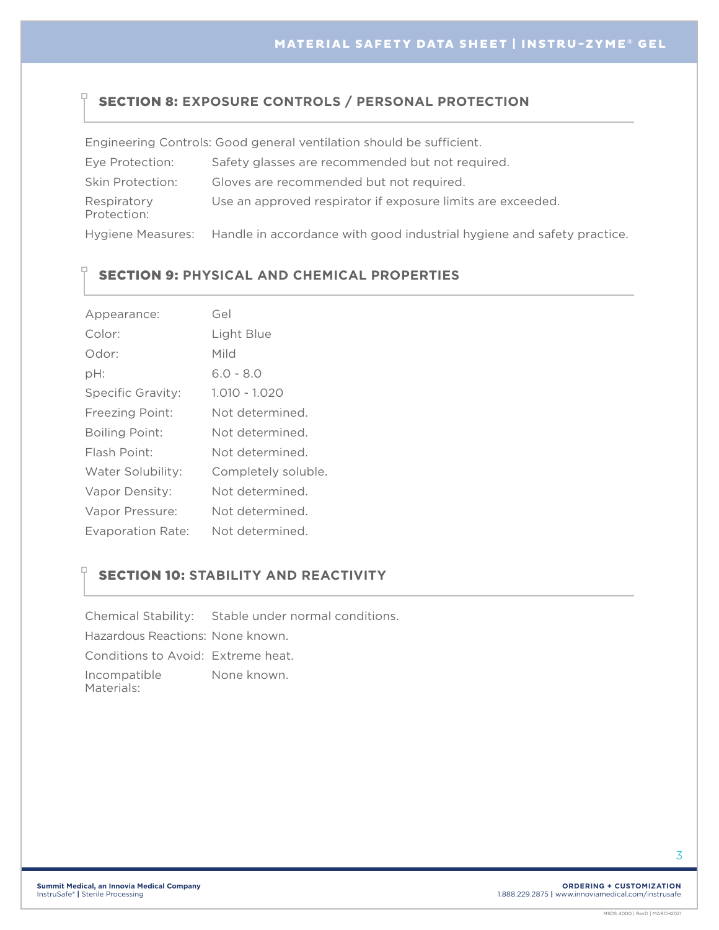#### ņ SECTION 8: **EXPOSURE CONTROLS / PERSONAL PROTECTION**

|                            | Engineering Controls: Good general ventilation should be sufficient.                     |
|----------------------------|------------------------------------------------------------------------------------------|
| Eye Protection:            | Safety glasses are recommended but not required.                                         |
| Skin Protection:           | Gloves are recommended but not required.                                                 |
| Respiratory<br>Protection: | Use an approved respirator if exposure limits are exceeded.                              |
|                            | Hygiene Measures: Handle in accordance with good industrial hygiene and safety practice. |

### SECTION 9: **PHYSICAL AND CHEMICAL PROPERTIES**

| Appearance:              | Gel                 |
|--------------------------|---------------------|
| Color:                   | Light Blue          |
| Odor:                    | Mild                |
| pH:                      | $6.0 - 8.0$         |
| Specific Gravity:        | $1.010 - 1.020$     |
| Freezing Point:          | Not determined.     |
| <b>Boiling Point:</b>    | Not determined.     |
| Flash Point:             | Not determined.     |
| Water Solubility:        | Completely soluble. |
| Vapor Density:           | Not determined.     |
| Vapor Pressure:          | Not determined.     |
| <b>Evaporation Rate:</b> | Not determined.     |

Q

#### α SECTION 10: **STABILITY AND REACTIVITY**

Chemical Stability: Stable under normal conditions. Hazardous Reactions: None known. Conditions to Avoid: Extreme heat. Incompatible None known. Materials: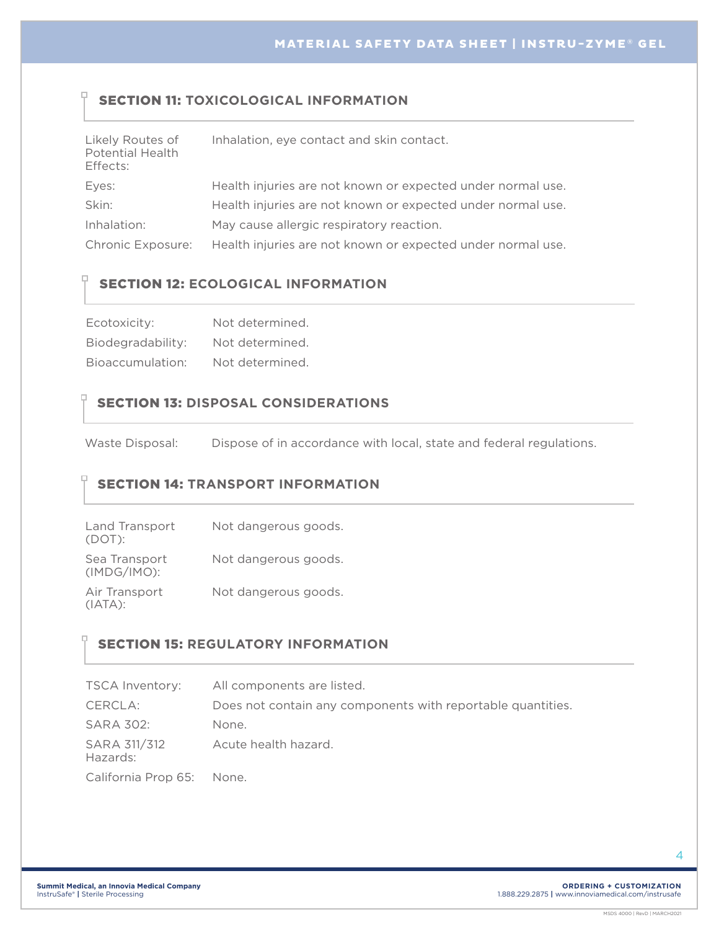### SECTION 11: **TOXICOLOGICAL INFORMATION**

| Likely Routes of<br>Potential Health<br>Effects: | Inhalation, eye contact and skin contact.                   |
|--------------------------------------------------|-------------------------------------------------------------|
| Eyes:                                            | Health injuries are not known or expected under normal use. |
| Skin:                                            | Health injuries are not known or expected under normal use. |
| Inhalation:                                      | May cause allergic respiratory reaction.                    |
| Chronic Exposure:                                | Health injuries are not known or expected under normal use. |

### SECTION 12: **ECOLOGICAL INFORMATION**

| Ecotoxicity:      | Not determined. |
|-------------------|-----------------|
| Biodegradability: | Not determined. |
| Bioaccumulation:  | Not determined. |

ņ

□

 $\Box$ 

#### $\Box$ SECTION 13: **DISPOSAL CONSIDERATIONS**

Waste Disposal: Dispose of in accordance with local, state and federal regulations.

### SECTION 14: **TRANSPORT INFORMATION**

| Land Transport<br>$(DOT)$ :  | Not dangerous goods. |
|------------------------------|----------------------|
| Sea Transport<br>(IMDG/IMO): | Not dangerous goods. |
| Air Transport<br>$(IATA)$ :  | Not dangerous goods. |

### SECTION 15: **REGULATORY INFORMATION**

| <b>TSCA Inventory:</b>    | All components are listed.                                  |
|---------------------------|-------------------------------------------------------------|
| CERCLA:                   | Does not contain any components with reportable quantities. |
| <b>SARA 302:</b>          | None.                                                       |
| SARA 311/312<br>Hazards:  | Acute health hazard.                                        |
| California Prop 65: None. |                                                             |